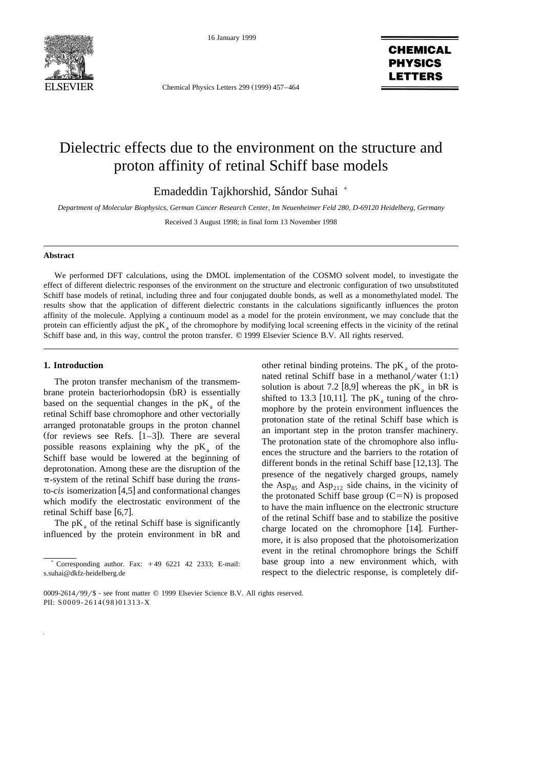

16 January 1999

Chemical Physics Letters 299 (1999) 457-464

# **CHEMICAL PHYSICS LETTERS**

# Dielectric effects due to the environment on the structure and proton affinity of retinal Schiff base models

Emadeddin Tajkhorshid, Sándor Suhai \*

*Department of Molecular Biophysics, German Cancer Research Center, Im Neuenheimer Feld 280, D-69120 Heidelberg, Germany*

Received 3 August 1998; in final form 13 November 1998

# **Abstract**

We performed DFT calculations, using the DMOL implementation of the COSMO solvent model, to investigate the effect of different dielectric responses of the environment on the structure and electronic configuration of two unsubstituted Schiff base models of retinal, including three and four conjugated double bonds, as well as a monomethylated model. The results show that the application of different dielectric constants in the calculations significantly influences the proton affinity of the molecule. Applying a continuum model as a model for the protein environment, we may conclude that the protein can efficiently adjust the  $pK_a$  of the chromophore by modifying local screening effects in the vicinity of the retinal Schiff base and, in this way, control the proton transfer.  $© 1999$  Elsevier Science B.V. All rights reserved.

# **1. Introduction**

The proton transfer mechanism of the transmembrane protein bacteriorhodopsin (bR) is essentially based on the sequential changes in the  $pK_a$  of the retinal Schiff base chromophore and other vectorially arranged protonatable groups in the proton channel (for reviews see Refs.  $[1-3]$ ). There are several possible reasons explaining why the  $pK_a$  of the Schiff base would be lowered at the beginning of deprotonation. Among these are the disruption of the p-system of the retinal Schiff base during the *trans*to-*cis* isomerization [4,5] and conformational changes which modify the electrostatic environment of the retinal Schiff base  $[6,7]$ .

The  $pK<sub>a</sub>$  of the retinal Schiff base is significantly influenced by the protein environment in bR and other retinal binding proteins. The  $pK_a$  of the protonated retinal Schiff base in a methanol/water  $(1:1)$ solution is about 7.2 [8,9] whereas the  $pK_a$  in bR is shifted to 13.3 [10,11]. The  $pK_a$  tuning of the chromophore by the protein environment influences the protonation state of the retinal Schiff base which is an important step in the proton transfer machinery. The protonation state of the chromophore also influences the structure and the barriers to the rotation of different bonds in the retinal Schiff base  $[12,13]$ . The presence of the negatively charged groups, namely the Asp<sub>85</sub> and Asp<sub>212</sub> side chains, in the vicinity of the protonated Schiff base group  $(C=N)$  is proposed to have the main influence on the electronic structure of the retinal Schiff base and to stabilize the positive charge located on the chromophore  $[14]$ . Furthermore, it is also proposed that the photoisomerization event in the retinal chromophore brings the Schiff base group into a new environment which, with respect to the dielectric response, is completely dif-

 $*$  Corresponding author. Fax:  $+49$  6221 42 2333; E-mail: s.suhai@dkfz-heidelberg.de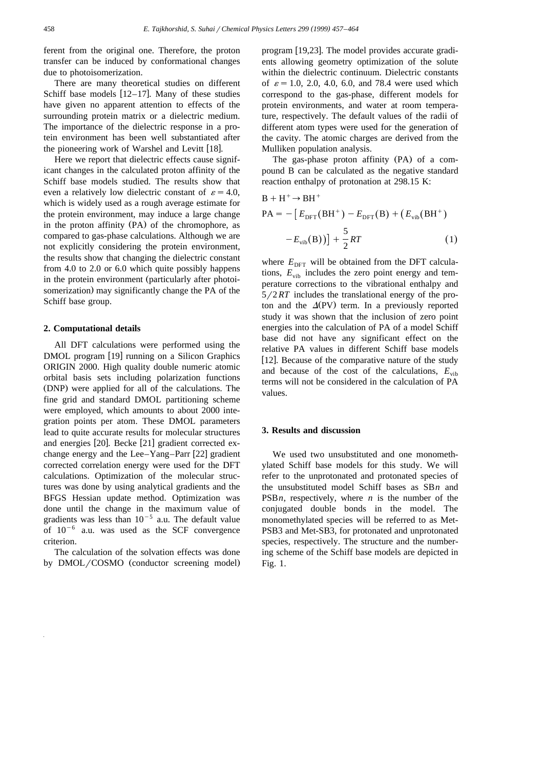ferent from the original one. Therefore, the proton transfer can be induced by conformational changes due to photoisomerization.

There are many theoretical studies on different Schiff base models  $[12-17]$ . Many of these studies have given no apparent attention to effects of the surrounding protein matrix or a dielectric medium. The importance of the dielectric response in a protein environment has been well substantiated after the pioneering work of Warshel and Levitt [18].

Here we report that dielectric effects cause significant changes in the calculated proton affinity of the Schiff base models studied. The results show that even a relatively low dielectric constant of  $\varepsilon = 4.0$ , which is widely used as a rough average estimate for the protein environment, may induce a large change in the proton affinity (PA) of the chromophore, as compared to gas-phase calculations. Although we are not explicitly considering the protein environment, the results show that changing the dielectric constant from 4.0 to 2.0 or 6.0 which quite possibly happens in the protein environment (particularly after photoisomerization) may significantly change the PA of the Schiff base group.

#### **2. Computational details**

All DFT calculations were performed using the DMOL program [19] running on a Silicon Graphics ORIGIN 2000. High quality double numeric atomic orbital basis sets including polarization functions (DNP) were applied for all of the calculations. The fine grid and standard DMOL partitioning scheme were employed, which amounts to about 2000 integration points per atom. These DMOL parameters lead to quite accurate results for molecular structures and energies  $[20]$ . Becke  $[21]$  gradient corrected exchange energy and the Lee–Yang–Parr  $[22]$  gradient corrected correlation energy were used for the DFT calculations. Optimization of the molecular structures was done by using analytical gradients and the BFGS Hessian update method. Optimization was done until the change in the maximum value of gradients was less than  $10^{-5}$  a.u. The default value of  $10^{-6}$  a.u. was used as the SCF convergence criterion.

The calculation of the solvation effects was done by DMOL/COSMO (conductor screening model) program [19,23]. The model provides accurate gradients allowing geometry optimization of the solute within the dielectric continuum. Dielectric constants of  $\varepsilon = 1.0, 2.0, 4.0, 6.0,$  and 78.4 were used which correspond to the gas-phase, different models for protein environments, and water at room temperature, respectively. The default values of the radii of different atom types were used for the generation of the cavity. The atomic charges are derived from the Mulliken population analysis.

The gas-phase proton affinity  $(PA)$  of a compound B can be calculated as the negative standard reaction enthalpy of protonation at 298.15 K:

$$
B + H^{+} \rightarrow BH^{+}
$$
  
\n
$$
PA = -[E_{DFT}(BH^{+}) - E_{DFT}(B) + (E_{vib}(BH^{+}) -E_{vib}(B))] + \frac{5}{2}RT
$$
\n(1)

where  $E_{\text{DFT}}$  will be obtained from the DFT calculations,  $E_{\text{vib}}$  includes the zero point energy and temperature corrections to the vibrational enthalpy and  $5/2 RT$  includes the translational energy of the proton and the  $\Delta$ (PV) term. In a previously reported study it was shown that the inclusion of zero point energies into the calculation of PA of a model Schiff base did not have any significant effect on the relative PA values in different Schiff base models [12]. Because of the comparative nature of the study and because of the cost of the calculations,  $E_{vib}$ terms will not be considered in the calculation of PA values.

#### **3. Results and discussion**

We used two unsubstituted and one monomethylated Schiff base models for this study. We will refer to the unprotonated and protonated species of the unsubstituted model Schiff bases as SB*n* and PSB*n*, respectively, where *n* is the number of the conjugated double bonds in the model. The monomethylated species will be referred to as Met-PSB3 and Met-SB3, for protonated and unprotonated species, respectively. The structure and the numbering scheme of the Schiff base models are depicted in Fig. 1.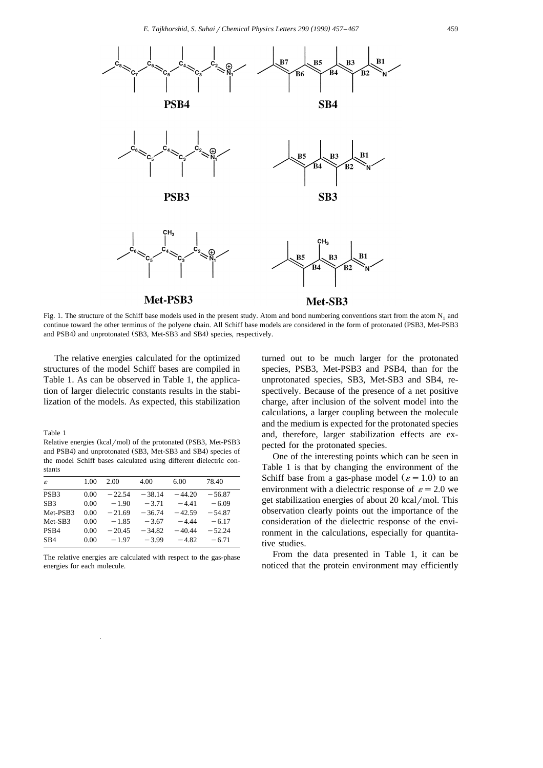

Fig. 1. The structure of the Schiff base models used in the present study. Atom and bond numbering conventions start from the atom  $N_1$  and continue toward the other terminus of the polyene chain. All Schiff base models are considered in the form of protonated (PSB3, Met-PSB3 and PSB4) and unprotonated (SB3, Met-SB3 and SB4) species, respectively.

The relative energies calculated for the optimized structures of the model Schiff bases are compiled in Table 1. As can be observed in Table 1, the application of larger dielectric constants results in the stabilization of the models. As expected, this stabilization

Table 1

Relative energies (kcal/mol) of the protonated (PSB3, Met-PSB3 and PSB4) and unprotonated (SB3, Met-SB3 and SB4) species of the model Schiff bases calculated using different dielectric constants

| $\mathcal{E}$    | 1.00 | 2.00     | 4.00     | 6.00     | 78.40    |
|------------------|------|----------|----------|----------|----------|
| PSB <sub>3</sub> | 0.00 | $-22.54$ | $-38.14$ | $-44.20$ | $-56.87$ |
| SB <sub>3</sub>  | 0.00 | $-1.90$  | $-3.71$  | $-4.41$  | $-6.09$  |
| Met-PSB3         | 0.00 | $-21.69$ | $-36.74$ | $-42.59$ | $-54.87$ |
| Met-SB3          | 0.00 | $-1.85$  | $-3.67$  | $-4.44$  | $-6.17$  |
| PS <sub>B4</sub> | 0.00 | $-20.45$ | $-34.82$ | $-40.44$ | $-52.24$ |
| S <sub>B4</sub>  | 0.00 | $-1.97$  | $-3.99$  | $-4.82$  | $-6.71$  |

The relative energies are calculated with respect to the gas-phase energies for each molecule.

turned out to be much larger for the protonated species, PSB3, Met-PSB3 and PSB4, than for the unprotonated species, SB3, Met-SB3 and SB4, respectively. Because of the presence of a net positive charge, after inclusion of the solvent model into the calculations, a larger coupling between the molecule and the medium is expected for the protonated species and, therefore, larger stabilization effects are expected for the protonated species.

One of the interesting points which can be seen in Table 1 is that by changing the environment of the Schiff base from a gas-phase model ( $\varepsilon = 1.0$ ) to an environment with a dielectric response of  $\varepsilon = 2.0$  we get stabilization energies of about  $20$  kcal/mol. This observation clearly points out the importance of the consideration of the dielectric response of the environment in the calculations, especially for quantitative studies.

From the data presented in Table 1, it can be noticed that the protein environment may efficiently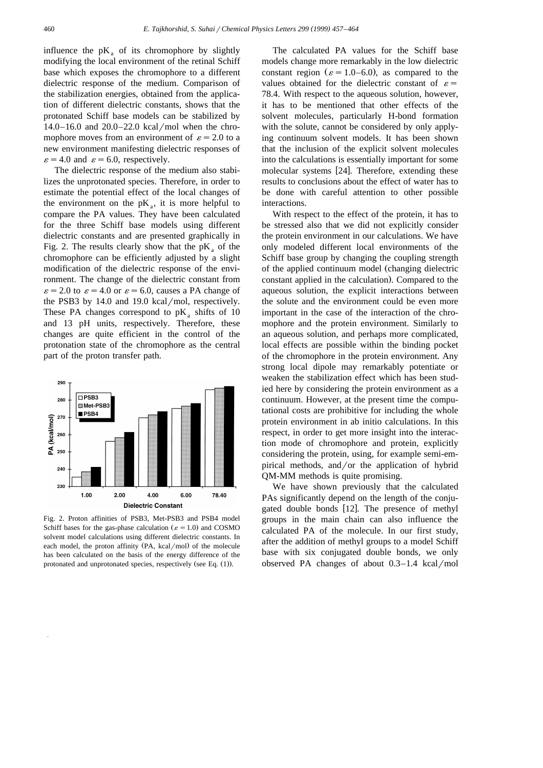influence the  $pK_a$  of its chromophore by slightly modifying the local environment of the retinal Schiff base which exposes the chromophore to a different dielectric response of the medium. Comparison of the stabilization energies, obtained from the application of different dielectric constants, shows that the protonated Schiff base models can be stabilized by 14.0–16.0 and  $20.0-22.0$  kcal/mol when the chromophore moves from an environment of  $\varepsilon = 2.0$  to a new environment manifesting dielectric responses of  $\varepsilon$  = 4.0 and  $\varepsilon$  = 6.0, respectively.

The dielectric response of the medium also stabilizes the unprotonated species. Therefore, in order to estimate the potential effect of the local changes of the environment on the  $pK_a$ , it is more helpful to compare the PA values. They have been calculated for the three Schiff base models using different dielectric constants and are presented graphically in Fig. 2. The results clearly show that the  $pK_a$  of the chromophore can be efficiently adjusted by a slight modification of the dielectric response of the environment. The change of the dielectric constant from  $\varepsilon$  = 2.0 to  $\varepsilon$  = 4.0 or  $\varepsilon$  = 6.0, causes a PA change of the PSB3 by  $14.0$  and  $19.0$  kcal/mol, respectively. These PA changes correspond to  $pK$ , shifts of 10 and 13 pH units, respectively. Therefore, these changes are quite efficient in the control of the protonation state of the chromophore as the central part of the proton transfer path.



Fig. 2. Proton affinities of PSB3, Met-PSB3 and PSB4 model Schiff bases for the gas-phase calculation ( $\varepsilon = 1.0$ ) and COSMO solvent model calculations using different dielectric constants. In each model, the proton affinity  $(PA, kcal/mol)$  of the molecule has been calculated on the basis of the energy difference of the protonated and unprotonated species, respectively (see Eq.  $(1)$ ).

The calculated PA values for the Schiff base models change more remarkably in the low dielectric constant region ( $\varepsilon = 1.0-6.0$ ), as compared to the values obtained for the dielectric constant of  $\varepsilon =$ 78.4. With respect to the aqueous solution, however, it has to be mentioned that other effects of the solvent molecules, particularly H-bond formation with the solute, cannot be considered by only applying continuum solvent models. It has been shown that the inclusion of the explicit solvent molecules into the calculations is essentially important for some molecular systems  $[24]$ . Therefore, extending these results to conclusions about the effect of water has to be done with careful attention to other possible interactions.

With respect to the effect of the protein, it has to be stressed also that we did not explicitly consider the protein environment in our calculations. We have only modeled different local environments of the Schiff base group by changing the coupling strength of the applied continuum model changing dielectric Ž constant applied in the calculation). Compared to the aqueous solution, the explicit interactions between the solute and the environment could be even more important in the case of the interaction of the chromophore and the protein environment. Similarly to an aqueous solution, and perhaps more complicated, local effects are possible within the binding pocket of the chromophore in the protein environment. Any strong local dipole may remarkably potentiate or weaken the stabilization effect which has been studied here by considering the protein environment as a continuum. However, at the present time the computational costs are prohibitive for including the whole protein environment in ab initio calculations. In this respect, in order to get more insight into the interaction mode of chromophore and protein, explicitly considering the protein, using, for example semi-empirical methods, and/or the application of hybrid QM-MM methods is quite promising.

We have shown previously that the calculated PAs significantly depend on the length of the conjugated double bonds [12]. The presence of methyl groups in the main chain can also influence the calculated PA of the molecule. In our first study, after the addition of methyl groups to a model Schiff base with six conjugated double bonds, we only observed PA changes of about  $0.3-1.4$  kcal/mol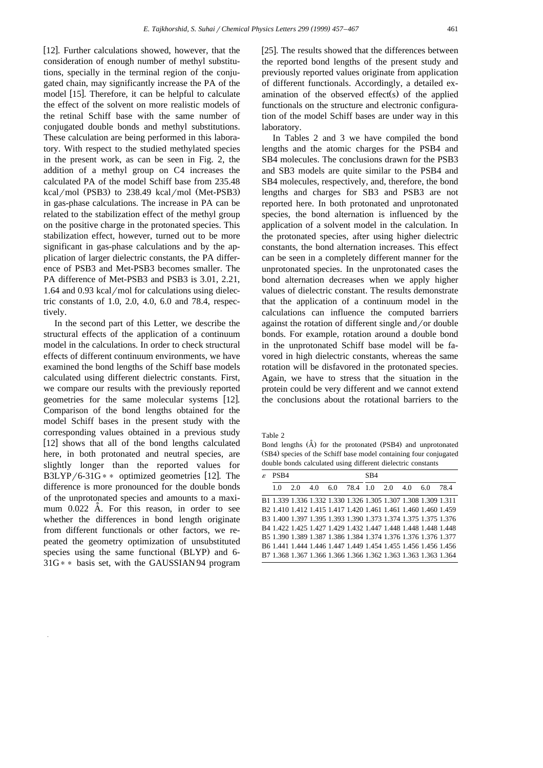[12]. Further calculations showed, however, that the consideration of enough number of methyl substitutions, specially in the terminal region of the conjugated chain, may significantly increase the PA of the model [15]. Therefore, it can be helpful to calculate the effect of the solvent on more realistic models of the retinal Schiff base with the same number of conjugated double bonds and methyl substitutions. These calculation are being performed in this laboratory. With respect to the studied methylated species in the present work, as can be seen in Fig. 2, the addition of a methyl group on C4 increases the calculated PA of the model Schiff base from 235.48  $kcal/mol$  (PSB3) to 238.49 kcal/mol (Met-PSB3) in gas-phase calculations. The increase in PA can be related to the stabilization effect of the methyl group on the positive charge in the protonated species. This stabilization effect, however, turned out to be more significant in gas-phase calculations and by the application of larger dielectric constants, the PA difference of PSB3 and Met-PSB3 becomes smaller. The PA difference of Met-PSB3 and PSB3 is 3.01, 2.21,  $1.64$  and  $0.93$  kcal/mol for calculations using dielectric constants of 1.0, 2.0, 4.0, 6.0 and 78.4, respectively.

In the second part of this Letter, we describe the structural effects of the application of a continuum model in the calculations. In order to check structural effects of different continuum environments, we have examined the bond lengths of the Schiff base models calculated using different dielectric constants. First, we compare our results with the previously reported geometries for the same molecular systems [12]. Comparison of the bond lengths obtained for the model Schiff bases in the present study with the corresponding values obtained in a previous study  $[12]$  shows that all of the bond lengths calculated here, in both protonated and neutral species, are slightly longer than the reported values for B3LYP/6-31G  $*$  \* optimized geometries [12]. The difference is more pronounced for the double bonds of the unprotonated species and amounts to a maximum  $0.022$  A. For this reason, in order to see whether the differences in bond length originate from different functionals or other factors, we repeated the geometry optimization of unsubstituted species using the same functional (BLYP) and 6- $31G$ <sup>\*</sup> basis set, with the GAUSSIAN 94 program

[25]. The results showed that the differences between the reported bond lengths of the present study and previously reported values originate from application of different functionals. Accordingly, a detailed examination of the observed effect(s) of the applied functionals on the structure and electronic configuration of the model Schiff bases are under way in this laboratory.

In Tables 2 and 3 we have compiled the bond lengths and the atomic charges for the PSB4 and SB4 molecules. The conclusions drawn for the PSB3 and SB3 models are quite similar to the PSB4 and SB4 molecules, respectively, and, therefore, the bond lengths and charges for SB3 and PSB3 are not reported here. In both protonated and unprotonated species, the bond alternation is influenced by the application of a solvent model in the calculation. In the protonated species, after using higher dielectric constants, the bond alternation increases. This effect can be seen in a completely different manner for the unprotonated species. In the unprotonated cases the bond alternation decreases when we apply higher values of dielectric constant. The results demonstrate that the application of a continuum model in the calculations can influence the computed barriers against the rotation of different single and/or double bonds. For example, rotation around a double bond in the unprotonated Schiff base model will be favored in high dielectric constants, whereas the same rotation will be disfavored in the protonated species. Again, we have to stress that the situation in the protein could be very different and we cannot extend the conclusions about the rotational barriers to the

Table 2

Bond lengths (A) for the protonated (PSB4) and unprotonated  $(SB4)$  species of the Schiff base model containing four conjugated double bonds calculated using different dielectric constants

| £. | PS <sub>B4</sub> |     |                                                                            |                              |  | SB4 |  |  |  |      |  |
|----|------------------|-----|----------------------------------------------------------------------------|------------------------------|--|-----|--|--|--|------|--|
|    | 10               | 2.0 |                                                                            | 4.0 6.0 78.4 1.0 2.0 4.0 6.0 |  |     |  |  |  | 78.4 |  |
|    |                  |     | B1 1.339 1.336 1.332 1.330 1.326 1.305 1.307 1.308 1.309 1.311             |                              |  |     |  |  |  |      |  |
|    |                  |     | B <sub>2</sub> 1.410 1.412 1.415 1.417 1.420 1.461 1.461 1.460 1.460 1.459 |                              |  |     |  |  |  |      |  |
|    |                  |     | B3 1.400 1.397 1.395 1.393 1.390 1.373 1.374 1.375 1.375 1.376             |                              |  |     |  |  |  |      |  |
|    |                  |     | B4 1.422 1.425 1.427 1.429 1.432 1.447 1.448 1.448 1.448 1.448             |                              |  |     |  |  |  |      |  |
|    |                  |     | B5 1.390 1.389 1.387 1.386 1.384 1.374 1.376 1.376 1.376 1.377             |                              |  |     |  |  |  |      |  |
|    |                  |     | B6 1.441 1.444 1.446 1.447 1.449 1.454 1.455 1.456 1.456 1.456             |                              |  |     |  |  |  |      |  |
|    |                  |     | B7 1.368 1.367 1.366 1.366 1.366 1.362 1.363 1.363 1.363 1.364             |                              |  |     |  |  |  |      |  |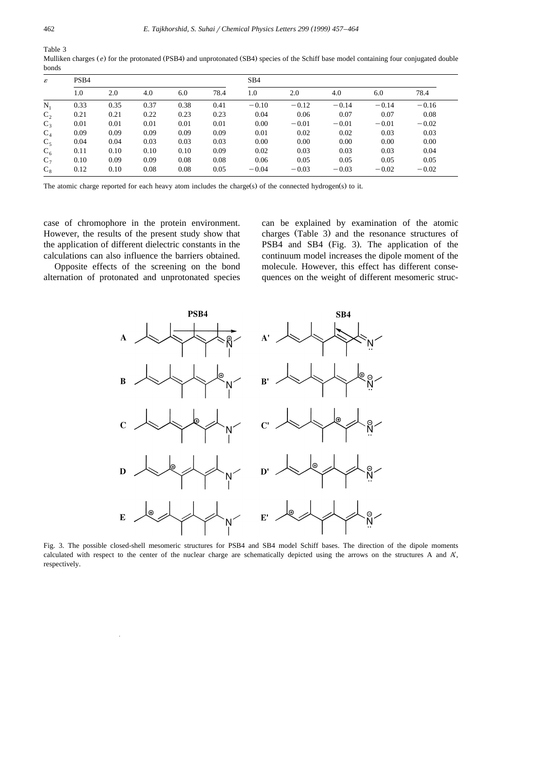Table 3

Mulliken charges (e) for the protonated (PSB4) and unprotonated (SB4) species of the Schiff base model containing four conjugated double bonds

| ε       | PSB <sub>4</sub> |      |      |      |      | SB <sub>4</sub> |         |         |         |         |
|---------|------------------|------|------|------|------|-----------------|---------|---------|---------|---------|
|         | 1.0              | 2.0  | 4.0  | 6.0  | 78.4 | 1.0             | 2.0     | 4.0     | 6.0     | 78.4    |
| $N_1$   | 0.33             | 0.35 | 0.37 | 0.38 | 0.41 | $-0.10$         | $-0.12$ | $-0.14$ | $-0.14$ | $-0.16$ |
| $C_{2}$ | 0.21             | 0.21 | 0.22 | 0.23 | 0.23 | 0.04            | 0.06    | 0.07    | 0.07    | 0.08    |
| $C_3$   | 0.01             | 0.01 | 0.01 | 0.01 | 0.01 | 0.00            | $-0.01$ | $-0.01$ | $-0.01$ | $-0.02$ |
| $C_4$   | 0.09             | 0.09 | 0.09 | 0.09 | 0.09 | 0.01            | 0.02    | 0.02    | 0.03    | 0.03    |
| $C_5$   | 0.04             | 0.04 | 0.03 | 0.03 | 0.03 | 0.00            | 0.00    | 0.00    | 0.00    | 0.00    |
| $C_6$   | 0.11             | 0.10 | 0.10 | 0.10 | 0.09 | 0.02            | 0.03    | 0.03    | 0.03    | 0.04    |
| $C_7$   | 0.10             | 0.09 | 0.09 | 0.08 | 0.08 | 0.06            | 0.05    | 0.05    | 0.05    | 0.05    |
| $C_8$   | 0.12             | 0.10 | 0.08 | 0.08 | 0.05 | $-0.04$         | $-0.03$ | $-0.03$ | $-0.02$ | $-0.02$ |

The atomic charge reported for each heavy atom includes the charge (s) of the connected hydrogen (s) to it.

case of chromophore in the protein environment. However, the results of the present study show that the application of different dielectric constants in the calculations can also influence the barriers obtained.

Opposite effects of the screening on the bond alternation of protonated and unprotonated species

can be explained by examination of the atomic charges (Table 3) and the resonance structures of PSB4 and SB4 (Fig. 3). The application of the continuum model increases the dipole moment of the molecule. However, this effect has different consequences on the weight of different mesomeric struc-



Fig. 3. The possible closed-shell mesomeric structures for PSB4 and SB4 model Schiff bases. The direction of the dipole moments calculated with respect to the center of the nuclear charge are schematically depicted using the arrows on the structures A and A', respectively.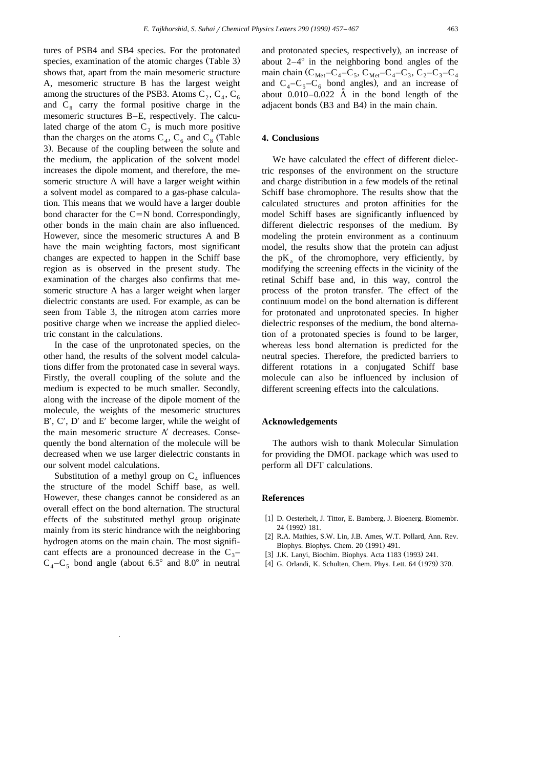tures of PSB4 and SB4 species. For the protonated species, examination of the atomic charges (Table 3). shows that, apart from the main mesomeric structure A, mesomeric structure B has the largest weight among the structures of the PSB3. Atoms  $C_2$ ,  $C_4$ ,  $C_6$ and  $C_8$  carry the formal positive charge in the mesomeric structures B–E, respectively. The calculated charge of the atom  $C_2$  is much more positive than the charges on the atoms  $C_4$ ,  $C_6$  and  $C_8$  (Table 3). Because of the coupling between the solute and the medium, the application of the solvent model increases the dipole moment, and therefore, the mesomeric structure A will have a larger weight within a solvent model as compared to a gas-phase calculation. This means that we would have a larger double bond character for the  $C=N$  bond. Correspondingly, other bonds in the main chain are also influenced. However, since the mesomeric structures A and B have the main weighting factors, most significant changes are expected to happen in the Schiff base region as is observed in the present study. The examination of the charges also confirms that mesomeric structure A has a larger weight when larger dielectric constants are used. For example, as can be seen from Table 3, the nitrogen atom carries more positive charge when we increase the applied dielectric constant in the calculations.

In the case of the unprotonated species, on the other hand, the results of the solvent model calculations differ from the protonated case in several ways. Firstly, the overall coupling of the solute and the medium is expected to be much smaller. Secondly, along with the increase of the dipole moment of the molecule, the weights of the mesomeric structures  $B'$ ,  $C'$ ,  $D'$  and  $E'$  become larger, while the weight of the main mesomeric structure  $A'$  decreases. Consequently the bond alternation of the molecule will be decreased when we use larger dielectric constants in our solvent model calculations.

Substitution of a methyl group on  $C_4$  influences the structure of the model Schiff base, as well. However, these changes cannot be considered as an overall effect on the bond alternation. The structural effects of the substituted methyl group originate mainly from its steric hindrance with the neighboring hydrogen atoms on the main chain. The most significant effects are a pronounced decrease in the  $C_3$ –  $C_4 - C_5$  bond angle (about 6.5° and 8.0° in neutral

and protonated species, respectively), an increase of about  $2-4^{\circ}$  in the neighboring bond angles of the main chain ( $C_{\text{Met}}-C_4-C_5$ ,  $C_{\text{Met}}-C_4-C_3$ ,  $C_2-C_3-C_4$ and  $C_4 - C_5 - C_6$  bond angles), and an increase of about  $0.010 - 0.022$  A in the bond length of the adjacent bonds (B3 and B4) in the main chain.

# **4. Conclusions**

We have calculated the effect of different dielectric responses of the environment on the structure and charge distribution in a few models of the retinal Schiff base chromophore. The results show that the calculated structures and proton affinities for the model Schiff bases are significantly influenced by different dielectric responses of the medium. By modeling the protein environment as a continuum model, the results show that the protein can adjust the  $pK_a$  of the chromophore, very efficiently, by modifying the screening effects in the vicinity of the retinal Schiff base and, in this way, control the process of the proton transfer. The effect of the continuum model on the bond alternation is different for protonated and unprotonated species. In higher dielectric responses of the medium, the bond alternation of a protonated species is found to be larger, whereas less bond alternation is predicted for the neutral species. Therefore, the predicted barriers to different rotations in a conjugated Schiff base molecule can also be influenced by inclusion of different screening effects into the calculations.

# **Acknowledgements**

The authors wish to thank Molecular Simulation for providing the DMOL package which was used to perform all DFT calculations.

# **References**

- [1] D. Oesterhelt, J. Tittor, E. Bamberg, J. Bioenerg. Biomembr. 24 (1992) 181.
- [2] R.A. Mathies, S.W. Lin, J.B. Ames, W.T. Pollard, Ann. Rev. Biophys. Biophys. Chem. 20 (1991) 491.
- [3] J.K. Lanyi, Biochim. Biophys. Acta 1183 (1993) 241.
- [4] G. Orlandi, K. Schulten, Chem. Phys. Lett. 64 (1979) 370.